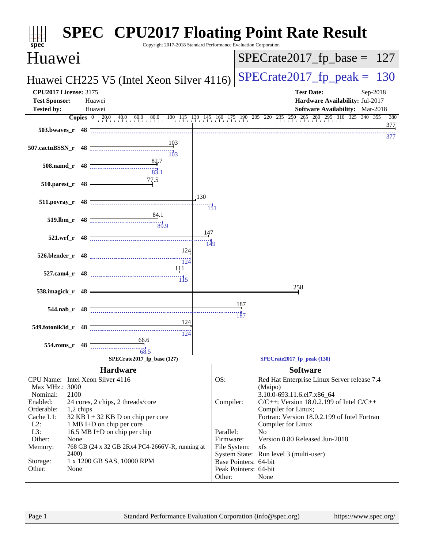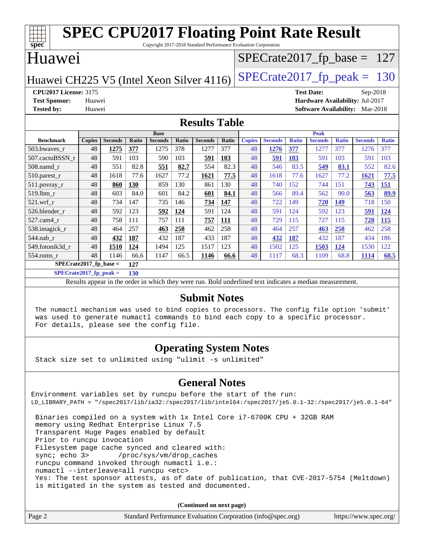| <b>SPEC CPU2017 Floating Point Rate Result</b><br>Copyright 2017-2018 Standard Performance Evaluation Corporation |               |                |       |                |       |                |       |               |                               |              |                                        |              |                |              |
|-------------------------------------------------------------------------------------------------------------------|---------------|----------------|-------|----------------|-------|----------------|-------|---------------|-------------------------------|--------------|----------------------------------------|--------------|----------------|--------------|
| spec <sup>®</sup><br>Huawei                                                                                       |               |                |       |                |       |                |       |               | $SPECTate2017_fp\_base = 127$ |              |                                        |              |                |              |
| $SPECrate2017_fp\_peak = 130$<br>Huawei CH225 V5 (Intel Xeon Silver 4116)                                         |               |                |       |                |       |                |       |               |                               |              |                                        |              |                |              |
| <b>CPU2017 License: 3175</b>                                                                                      |               |                |       |                |       |                |       |               |                               |              | <b>Test Date:</b>                      |              | $Sep-2018$     |              |
| <b>Test Sponsor:</b>                                                                                              | Huawei        |                |       |                |       |                |       |               |                               |              | Hardware Availability: Jul-2017        |              |                |              |
| <b>Tested by:</b>                                                                                                 | Huawei        |                |       |                |       |                |       |               |                               |              | <b>Software Availability:</b> Mar-2018 |              |                |              |
| <b>Results Table</b>                                                                                              |               |                |       |                |       |                |       |               |                               |              |                                        |              |                |              |
|                                                                                                                   |               |                |       | <b>Base</b>    |       |                |       |               |                               |              | <b>Peak</b>                            |              |                |              |
| <b>Benchmark</b>                                                                                                  | <b>Copies</b> | <b>Seconds</b> | Ratio | <b>Seconds</b> | Ratio | <b>Seconds</b> | Ratio | <b>Copies</b> | <b>Seconds</b>                | <b>Ratio</b> | <b>Seconds</b>                         | <b>Ratio</b> | <b>Seconds</b> | <b>Ratio</b> |
| 503.bwayes r                                                                                                      | 48            | 1275           | 377   | 1275           | 378   | 1277           | 377   | 48            | 1276                          | 377          | 1277                                   | 377          | 1276           | 377          |
| 507.cactuBSSN r                                                                                                   | 48            | 591            | 103   | 590            | 103   | 591            | 103   | 48            | 591                           | 103          | 591                                    | 103          | 591            | 103          |
| 508.namd r                                                                                                        | 48            | 551            | 82.8  | 551            | 82.7  | 554            | 82.3  | 48            | 546                           | 83.5         | 549                                    | 83.1         | 552            | 82.6         |
| 510.parest_r                                                                                                      | 48            | 1618           | 77.6  | 1627           | 77.2  | 1621           | 77.5  | 48            | 1618                          | 77.6         | 1627                                   | 77.2         | 1621           | 77.5         |
| 511.povray_r                                                                                                      | 48            | 860            | 130   | 859            | 130   | 861            | 130   | 48            | 740                           | 152          | 744                                    | 151          | 743            | 151          |
| 519.lbm r                                                                                                         | 48            | 603            | 84.0  | 601            | 84.2  | 601            | 84.1  | 48            | 566                           | 89.4         | 562                                    | 90.0         | 563            | 89.9         |
| 521.wrf                                                                                                           | 48            | 734            | 147   | 735            | 146   | 734            | 147   | 48            | 722                           | 149          | 720                                    | 149          | 718            | 150          |
| 526.blender r                                                                                                     | 48            | 592            | 123   | 592            | 124   | 591            | 124   | 48            | 591                           | 124          | 592                                    | 123          | 591            | 124          |
| 527.cam4 r                                                                                                        | 48            | 758            | 111   | 757            | 111   | 757            | 111   | 48            | 729                           | 115          | 727                                    | 115          | 728            | 115          |
| 538.imagick_r                                                                                                     | 48            | 464            | 257   | 463            | 258   | 462            | 258   | 48            | 464                           | 257          | 463                                    | 258          | 462            | 258          |
| 544.nab r                                                                                                         | 48            | 432            | 187   | 432            | 187   | 433            | 187   | 48            | 432                           | 187          | 432                                    | 187          | 434            | 186          |
| 549.fotonik3d r                                                                                                   | 48            | 1510           | 124   | 1494           | 125   | 1517           | 123   | 48            | 1502                          | 125          | 1503                                   | 124          | 1530           | 122          |
| 554.roms_r                                                                                                        | 48            | 1146           | 66.6  | 1147           | 66.5  | 1146           | 66.6  | 48            | 1117                          | 68.3         | 1109                                   | 68.8         | 1114           | 68.5         |
| SPECrate2017 fp base $=$<br>127                                                                                   |               |                |       |                |       |                |       |               |                               |              |                                        |              |                |              |

**[SPECrate2017\\_fp\\_peak =](http://www.spec.org/auto/cpu2017/Docs/result-fields.html#SPECrate2017fppeak) 130**

Results appear in the [order in which they were run.](http://www.spec.org/auto/cpu2017/Docs/result-fields.html#RunOrder) Bold underlined text [indicates a median measurement.](http://www.spec.org/auto/cpu2017/Docs/result-fields.html#Median)

#### **[Submit Notes](http://www.spec.org/auto/cpu2017/Docs/result-fields.html#SubmitNotes)**

 The numactl mechanism was used to bind copies to processors. The config file option 'submit' was used to generate numactl commands to bind each copy to a specific processor. For details, please see the config file.

#### **[Operating System Notes](http://www.spec.org/auto/cpu2017/Docs/result-fields.html#OperatingSystemNotes)**

Stack size set to unlimited using "ulimit -s unlimited"

#### **[General Notes](http://www.spec.org/auto/cpu2017/Docs/result-fields.html#GeneralNotes)**

Environment variables set by runcpu before the start of the run: LD\_LIBRARY\_PATH = "/spec2017/lib/ia32:/spec2017/lib/intel64:/spec2017/je5.0.1-32:/spec2017/je5.0.1-64" Binaries compiled on a system with 1x Intel Core i7-6700K CPU + 32GB RAM memory using Redhat Enterprise Linux 7.5 Transparent Huge Pages enabled by default Prior to runcpu invocation Filesystem page cache synced and cleared with: sync; echo 3> /proc/sys/vm/drop\_caches runcpu command invoked through numactl i.e.:

numactl --interleave=all runcpu <etc>

 Yes: The test sponsor attests, as of date of publication, that CVE-2017-5754 (Meltdown) is mitigated in the system as tested and documented.

**(Continued on next page)**

| Page 2<br>Standard Performance Evaluation Corporation (info@spec.org)<br>https://www.spec.org/ |  |
|------------------------------------------------------------------------------------------------|--|
|------------------------------------------------------------------------------------------------|--|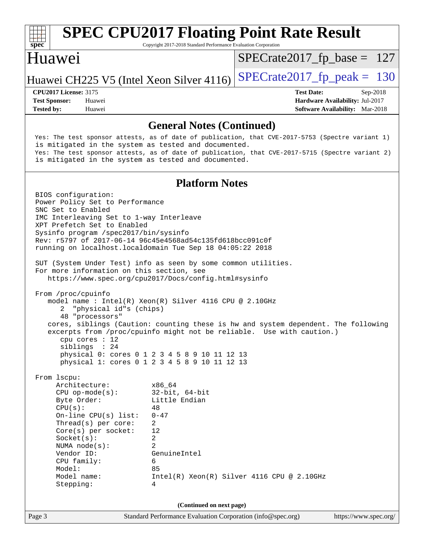

Copyright 2017-2018 Standard Performance Evaluation Corporation

#### Huawei

[SPECrate2017\\_fp\\_base =](http://www.spec.org/auto/cpu2017/Docs/result-fields.html#SPECrate2017fpbase) 127

Huawei CH225 V5 (Intel Xeon Silver 4116) SPECrate  $2017$  fp peak = 130

**[Tested by:](http://www.spec.org/auto/cpu2017/Docs/result-fields.html#Testedby)** Huawei **[Software Availability:](http://www.spec.org/auto/cpu2017/Docs/result-fields.html#SoftwareAvailability)** Mar-2018

**[CPU2017 License:](http://www.spec.org/auto/cpu2017/Docs/result-fields.html#CPU2017License)** 3175 **[Test Date:](http://www.spec.org/auto/cpu2017/Docs/result-fields.html#TestDate)** Sep-2018 **[Test Sponsor:](http://www.spec.org/auto/cpu2017/Docs/result-fields.html#TestSponsor)** Huawei **[Hardware Availability:](http://www.spec.org/auto/cpu2017/Docs/result-fields.html#HardwareAvailability)** Jul-2017

**[General Notes \(Continued\)](http://www.spec.org/auto/cpu2017/Docs/result-fields.html#GeneralNotes)** Yes: The test sponsor attests, as of date of publication, that CVE-2017-5753 (Spectre variant 1) is mitigated in the system as tested and documented. Yes: The test sponsor attests, as of date of publication, that CVE-2017-5715 (Spectre variant 2) is mitigated in the system as tested and documented. **[Platform Notes](http://www.spec.org/auto/cpu2017/Docs/result-fields.html#PlatformNotes)** BIOS configuration: Power Policy Set to Performance SNC Set to Enabled IMC Interleaving Set to 1-way Interleave XPT Prefetch Set to Enabled Sysinfo program /spec2017/bin/sysinfo Rev: r5797 of 2017-06-14 96c45e4568ad54c135fd618bcc091c0f running on localhost.localdomain Tue Sep 18 04:05:22 2018 SUT (System Under Test) info as seen by some common utilities. For more information on this section, see <https://www.spec.org/cpu2017/Docs/config.html#sysinfo> From /proc/cpuinfo model name : Intel(R) Xeon(R) Silver 4116 CPU @ 2.10GHz 2 "physical id"s (chips) 48 "processors" cores, siblings (Caution: counting these is hw and system dependent. The following excerpts from /proc/cpuinfo might not be reliable. Use with caution.) cpu cores : 12 siblings : 24 physical 0: cores 0 1 2 3 4 5 8 9 10 11 12 13 physical 1: cores 0 1 2 3 4 5 8 9 10 11 12 13 From lscpu: Architecture: x86\_64 CPU op-mode(s): 32-bit, 64-bit Byte Order: Little Endian  $CPU(s):$  48 On-line CPU(s) list: 0-47 Thread(s) per core: 2 Core(s) per socket: 12 Socket(s): 2 NUMA node(s): 2 Vendor ID: GenuineIntel CPU family: 6 Model: 85 Model name:  $Intel(R)$  Xeon(R) Silver 4116 CPU @ 2.10GHz Stepping: 4

**(Continued on next page)**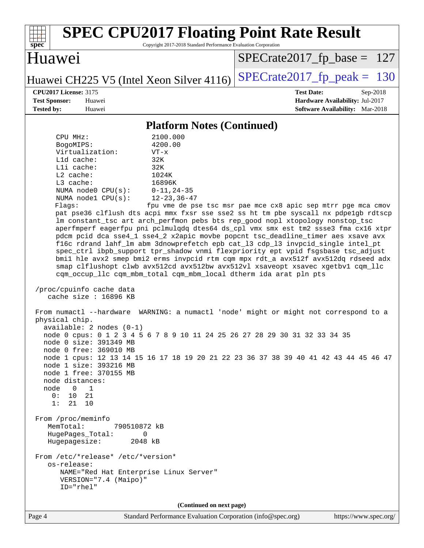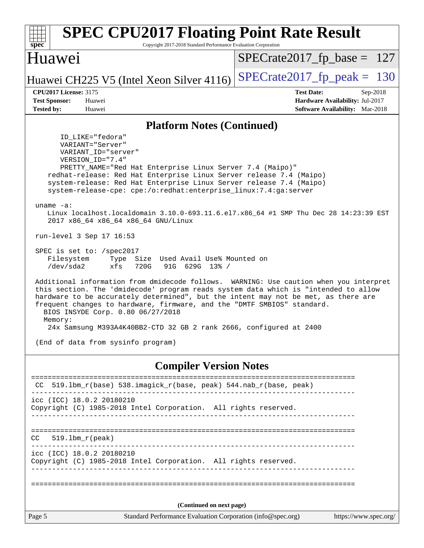| <b>SPEC CPU2017 Floating Point Rate Result</b><br>spec<br>Copyright 2017-2018 Standard Performance Evaluation Corporation                                                                                                                                                                                                                                                                                                                                                                                                                                                                                                                                                                                                                                                                                                                                                                                                                                                                                                                                                                                                                                                                 |                                                                                                     |
|-------------------------------------------------------------------------------------------------------------------------------------------------------------------------------------------------------------------------------------------------------------------------------------------------------------------------------------------------------------------------------------------------------------------------------------------------------------------------------------------------------------------------------------------------------------------------------------------------------------------------------------------------------------------------------------------------------------------------------------------------------------------------------------------------------------------------------------------------------------------------------------------------------------------------------------------------------------------------------------------------------------------------------------------------------------------------------------------------------------------------------------------------------------------------------------------|-----------------------------------------------------------------------------------------------------|
| Huawei                                                                                                                                                                                                                                                                                                                                                                                                                                                                                                                                                                                                                                                                                                                                                                                                                                                                                                                                                                                                                                                                                                                                                                                    | $SPECrate2017_fp\_base = 127$                                                                       |
| Huawei CH225 V5 (Intel Xeon Silver 4116)                                                                                                                                                                                                                                                                                                                                                                                                                                                                                                                                                                                                                                                                                                                                                                                                                                                                                                                                                                                                                                                                                                                                                  | $SPECTate2017$ _fp_peak = 130                                                                       |
| <b>CPU2017 License: 3175</b><br><b>Test Sponsor:</b><br>Huawei<br><b>Tested by:</b><br>Huawei                                                                                                                                                                                                                                                                                                                                                                                                                                                                                                                                                                                                                                                                                                                                                                                                                                                                                                                                                                                                                                                                                             | <b>Test Date:</b><br>Sep-2018<br>Hardware Availability: Jul-2017<br>Software Availability: Mar-2018 |
| <b>Platform Notes (Continued)</b>                                                                                                                                                                                                                                                                                                                                                                                                                                                                                                                                                                                                                                                                                                                                                                                                                                                                                                                                                                                                                                                                                                                                                         |                                                                                                     |
| ID LIKE="fedora"<br>VARIANT="Server"<br>VARIANT_ID="server"<br>VERSION_ID="7.4"<br>PRETTY_NAME="Red Hat Enterprise Linux Server 7.4 (Maipo)"<br>redhat-release: Red Hat Enterprise Linux Server release 7.4 (Maipo)<br>system-release: Red Hat Enterprise Linux Server release 7.4 (Maipo)<br>system-release-cpe: cpe:/o:redhat:enterprise_linux:7.4:ga:server<br>$uname -a$ :<br>Linux localhost.localdomain 3.10.0-693.11.6.el7.x86_64 #1 SMP Thu Dec 28 14:23:39 EST<br>2017 x86_64 x86_64 x86_64 GNU/Linux<br>run-level 3 Sep 17 16:53<br>SPEC is set to: /spec2017<br>Type Size Used Avail Use% Mounted on<br>Filesystem<br>/dev/sda2<br>xfs<br>720G<br>91G 629G 13% /<br>Additional information from dmidecode follows. WARNING: Use caution when you interpret<br>this section. The 'dmidecode' program reads system data which is "intended to allow<br>hardware to be accurately determined", but the intent may not be met, as there are<br>frequent changes to hardware, firmware, and the "DMTF SMBIOS" standard.<br>BIOS INSYDE Corp. 0.80 06/27/2018<br>Memory:<br>24x Samsung M393A4K40BB2-CTD 32 GB 2 rank 2666, configured at 2400<br>(End of data from sysinfo program) |                                                                                                     |
| <b>Compiler Version Notes</b>                                                                                                                                                                                                                                                                                                                                                                                                                                                                                                                                                                                                                                                                                                                                                                                                                                                                                                                                                                                                                                                                                                                                                             |                                                                                                     |
| ---------------<br>519.1bm_r(base) 538.imagick_r(base, peak) 544.nab_r(base, peak)                                                                                                                                                                                                                                                                                                                                                                                                                                                                                                                                                                                                                                                                                                                                                                                                                                                                                                                                                                                                                                                                                                        |                                                                                                     |
| icc (ICC) 18.0.2 20180210<br>Copyright (C) 1985-2018 Intel Corporation. All rights reserved.                                                                                                                                                                                                                                                                                                                                                                                                                                                                                                                                                                                                                                                                                                                                                                                                                                                                                                                                                                                                                                                                                              |                                                                                                     |
| $519.1bm_r(peak)$<br>CC.                                                                                                                                                                                                                                                                                                                                                                                                                                                                                                                                                                                                                                                                                                                                                                                                                                                                                                                                                                                                                                                                                                                                                                  |                                                                                                     |
| icc (ICC) 18.0.2 20180210<br>Copyright (C) 1985-2018 Intel Corporation. All rights reserved.                                                                                                                                                                                                                                                                                                                                                                                                                                                                                                                                                                                                                                                                                                                                                                                                                                                                                                                                                                                                                                                                                              |                                                                                                     |
|                                                                                                                                                                                                                                                                                                                                                                                                                                                                                                                                                                                                                                                                                                                                                                                                                                                                                                                                                                                                                                                                                                                                                                                           |                                                                                                     |
| (Continued on next page)<br>Page 5<br>Standard Performance Evaluation Corporation (info@spec.org)                                                                                                                                                                                                                                                                                                                                                                                                                                                                                                                                                                                                                                                                                                                                                                                                                                                                                                                                                                                                                                                                                         | https://www.spec.org/                                                                               |
|                                                                                                                                                                                                                                                                                                                                                                                                                                                                                                                                                                                                                                                                                                                                                                                                                                                                                                                                                                                                                                                                                                                                                                                           |                                                                                                     |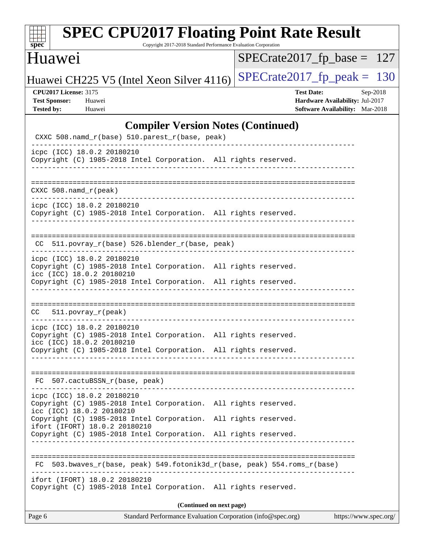| s<br>e<br>n<br>I<br>C<br>× |  |  |  |  |  |
|----------------------------|--|--|--|--|--|

Copyright 2017-2018 Standard Performance Evaluation Corporation

## Huawei

[SPECrate2017\\_fp\\_base =](http://www.spec.org/auto/cpu2017/Docs/result-fields.html#SPECrate2017fpbase) 127

Huawei CH225 V5 (Intel Xeon Silver 4116) SPECrate  $2017$  fp peak = 130

**[CPU2017 License:](http://www.spec.org/auto/cpu2017/Docs/result-fields.html#CPU2017License)** 3175 **[Test Date:](http://www.spec.org/auto/cpu2017/Docs/result-fields.html#TestDate)** Sep-2018 **[Test Sponsor:](http://www.spec.org/auto/cpu2017/Docs/result-fields.html#TestSponsor)** Huawei **[Hardware Availability:](http://www.spec.org/auto/cpu2017/Docs/result-fields.html#HardwareAvailability)** Jul-2017 **[Tested by:](http://www.spec.org/auto/cpu2017/Docs/result-fields.html#Testedby)** Huawei **[Software Availability:](http://www.spec.org/auto/cpu2017/Docs/result-fields.html#SoftwareAvailability)** Mar-2018

#### **[Compiler Version Notes \(Continued\)](http://www.spec.org/auto/cpu2017/Docs/result-fields.html#CompilerVersionNotes)**

| Standard Performance Evaluation Corporation (info@spec.org)<br>Page 6                                                              | https://www.spec.org/ |
|------------------------------------------------------------------------------------------------------------------------------------|-----------------------|
| (Continued on next page)                                                                                                           |                       |
| ifort (IFORT) 18.0.2 20180210<br>Copyright (C) 1985-2018 Intel Corporation. All rights reserved.                                   |                       |
| 503.bwaves_r(base, peak) 549.fotonik3d_r(base, peak) 554.roms_r(base)<br>FC.                                                       |                       |
| ifort (IFORT) 18.0.2 20180210<br>Copyright (C) 1985-2018 Intel Corporation.<br>All rights reserved.<br>------------------          |                       |
| icc (ICC) 18.0.2 20180210<br>Copyright (C) 1985-2018 Intel Corporation.<br>All rights reserved.                                    |                       |
| icpc (ICC) 18.0.2 20180210<br>Copyright (C) 1985-2018 Intel Corporation. All rights reserved.                                      |                       |
| FC 507.cactuBSSN_r(base, peak)                                                                                                     |                       |
| icc (ICC) 18.0.2 20180210<br>Copyright (C) 1985-2018 Intel Corporation. All rights reserved.                                       |                       |
| icpc (ICC) 18.0.2 20180210<br>Copyright (C) 1985-2018 Intel Corporation. All rights reserved.                                      |                       |
| CC 511.povray_r(peak)                                                                                                              |                       |
| Copyright (C) 1985-2018 Intel Corporation. All rights reserved.                                                                    |                       |
| icpc (ICC) 18.0.2 20180210<br>Copyright (C) 1985-2018 Intel Corporation. All rights reserved.<br>icc (ICC) 18.0.2 20180210         |                       |
| CC 511.povray_r(base) 526.blender_r(base, peak)                                                                                    |                       |
| icpc (ICC) 18.0.2 20180210<br>Copyright (C) 1985-2018 Intel Corporation. All rights reserved.<br>--------------------------------- |                       |
| $CXXC 508.namd_r (peak)$                                                                                                           |                       |
| icpc (ICC) 18.0.2 20180210<br>Copyright (C) 1985-2018 Intel Corporation. All rights reserved.                                      |                       |
| CXXC 508.namd_r(base) 510.parest_r(base, peak)                                                                                     |                       |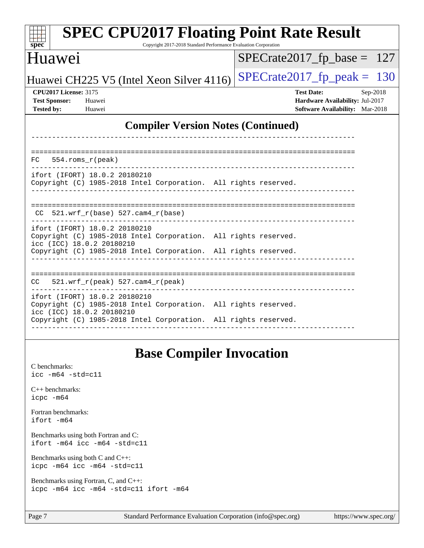| <b>SPEC CPU2017 Floating Point Rate Result</b><br>spec<br>Copyright 2017-2018 Standard Performance Evaluation Corporation                                                                        |                                                                                                     |
|--------------------------------------------------------------------------------------------------------------------------------------------------------------------------------------------------|-----------------------------------------------------------------------------------------------------|
| <b>Huawei</b>                                                                                                                                                                                    | $SPECrate2017_fp\_base = 127$                                                                       |
| Huawei CH225 V5 (Intel Xeon Silver 4116)                                                                                                                                                         | $SPECrate2017_fp\_peak = 130$                                                                       |
| <b>CPU2017 License: 3175</b><br><b>Test Sponsor:</b><br>Huawei<br><b>Tested by:</b><br>Huawei                                                                                                    | <b>Test Date:</b><br>Sep-2018<br>Hardware Availability: Jul-2017<br>Software Availability: Mar-2018 |
| <b>Compiler Version Notes (Continued)</b>                                                                                                                                                        |                                                                                                     |
| 554.roms_r(peak)<br>FC                                                                                                                                                                           |                                                                                                     |
| ifort (IFORT) 18.0.2 20180210<br>Copyright (C) 1985-2018 Intel Corporation. All rights reserved.                                                                                                 |                                                                                                     |
| $CC$ 521.wrf_r(base) 527.cam4_r(base)                                                                                                                                                            |                                                                                                     |
| ifort (IFORT) 18.0.2 20180210<br>Copyright (C) 1985-2018 Intel Corporation. All rights reserved.<br>icc (ICC) 18.0.2 20180210<br>Copyright (C) 1985-2018 Intel Corporation. All rights reserved. |                                                                                                     |
|                                                                                                                                                                                                  |                                                                                                     |
| $521.wrf_r(peak)$ 527.cam4_r(peak)<br>CC.                                                                                                                                                        |                                                                                                     |
| ifort (IFORT) 18.0.2 20180210<br>Copyright (C) 1985-2018 Intel Corporation. All rights reserved.<br>icc (ICC) 18.0.2 20180210                                                                    |                                                                                                     |
| Copyright (C) 1985-2018 Intel Corporation. All rights reserved.                                                                                                                                  |                                                                                                     |
| <b>Base Compiler Invocation</b>                                                                                                                                                                  |                                                                                                     |
| C benchmarks:<br>$\text{icc}$ -m64 -std=c11                                                                                                                                                      |                                                                                                     |
| C++ benchmarks:                                                                                                                                                                                  |                                                                                                     |

[Fortran benchmarks](http://www.spec.org/auto/cpu2017/Docs/result-fields.html#Fortranbenchmarks): [ifort -m64](http://www.spec.org/cpu2017/results/res2018q4/cpu2017-20180920-08925.flags.html#user_FCbase_intel_ifort_64bit_24f2bb282fbaeffd6157abe4f878425411749daecae9a33200eee2bee2fe76f3b89351d69a8130dd5949958ce389cf37ff59a95e7a40d588e8d3a57e0c3fd751)

[icpc -m64](http://www.spec.org/cpu2017/results/res2018q4/cpu2017-20180920-08925.flags.html#user_CXXbase_intel_icpc_64bit_4ecb2543ae3f1412ef961e0650ca070fec7b7afdcd6ed48761b84423119d1bf6bdf5cad15b44d48e7256388bc77273b966e5eb805aefd121eb22e9299b2ec9d9)

[Benchmarks using both Fortran and C](http://www.spec.org/auto/cpu2017/Docs/result-fields.html#BenchmarksusingbothFortranandC): [ifort -m64](http://www.spec.org/cpu2017/results/res2018q4/cpu2017-20180920-08925.flags.html#user_CC_FCbase_intel_ifort_64bit_24f2bb282fbaeffd6157abe4f878425411749daecae9a33200eee2bee2fe76f3b89351d69a8130dd5949958ce389cf37ff59a95e7a40d588e8d3a57e0c3fd751) [icc -m64 -std=c11](http://www.spec.org/cpu2017/results/res2018q4/cpu2017-20180920-08925.flags.html#user_CC_FCbase_intel_icc_64bit_c11_33ee0cdaae7deeeab2a9725423ba97205ce30f63b9926c2519791662299b76a0318f32ddfffdc46587804de3178b4f9328c46fa7c2b0cd779d7a61945c91cd35)

[Benchmarks using both C and C++](http://www.spec.org/auto/cpu2017/Docs/result-fields.html#BenchmarksusingbothCandCXX): [icpc -m64](http://www.spec.org/cpu2017/results/res2018q4/cpu2017-20180920-08925.flags.html#user_CC_CXXbase_intel_icpc_64bit_4ecb2543ae3f1412ef961e0650ca070fec7b7afdcd6ed48761b84423119d1bf6bdf5cad15b44d48e7256388bc77273b966e5eb805aefd121eb22e9299b2ec9d9) [icc -m64 -std=c11](http://www.spec.org/cpu2017/results/res2018q4/cpu2017-20180920-08925.flags.html#user_CC_CXXbase_intel_icc_64bit_c11_33ee0cdaae7deeeab2a9725423ba97205ce30f63b9926c2519791662299b76a0318f32ddfffdc46587804de3178b4f9328c46fa7c2b0cd779d7a61945c91cd35)

[Benchmarks using Fortran, C, and C++:](http://www.spec.org/auto/cpu2017/Docs/result-fields.html#BenchmarksusingFortranCandCXX) [icpc -m64](http://www.spec.org/cpu2017/results/res2018q4/cpu2017-20180920-08925.flags.html#user_CC_CXX_FCbase_intel_icpc_64bit_4ecb2543ae3f1412ef961e0650ca070fec7b7afdcd6ed48761b84423119d1bf6bdf5cad15b44d48e7256388bc77273b966e5eb805aefd121eb22e9299b2ec9d9) [icc -m64 -std=c11](http://www.spec.org/cpu2017/results/res2018q4/cpu2017-20180920-08925.flags.html#user_CC_CXX_FCbase_intel_icc_64bit_c11_33ee0cdaae7deeeab2a9725423ba97205ce30f63b9926c2519791662299b76a0318f32ddfffdc46587804de3178b4f9328c46fa7c2b0cd779d7a61945c91cd35) [ifort -m64](http://www.spec.org/cpu2017/results/res2018q4/cpu2017-20180920-08925.flags.html#user_CC_CXX_FCbase_intel_ifort_64bit_24f2bb282fbaeffd6157abe4f878425411749daecae9a33200eee2bee2fe76f3b89351d69a8130dd5949958ce389cf37ff59a95e7a40d588e8d3a57e0c3fd751)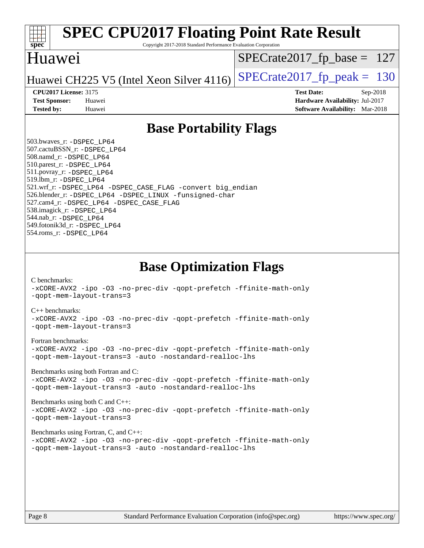

Copyright 2017-2018 Standard Performance Evaluation Corporation

### Huawei

[SPECrate2017\\_fp\\_base =](http://www.spec.org/auto/cpu2017/Docs/result-fields.html#SPECrate2017fpbase) 127

Huawei CH225 V5 (Intel Xeon Silver 4116) SPECrate  $2017$  fp peak = 130

**[CPU2017 License:](http://www.spec.org/auto/cpu2017/Docs/result-fields.html#CPU2017License)** 3175 **[Test Date:](http://www.spec.org/auto/cpu2017/Docs/result-fields.html#TestDate)** Sep-2018 **[Test Sponsor:](http://www.spec.org/auto/cpu2017/Docs/result-fields.html#TestSponsor)** Huawei **[Hardware Availability:](http://www.spec.org/auto/cpu2017/Docs/result-fields.html#HardwareAvailability)** Jul-2017 **[Tested by:](http://www.spec.org/auto/cpu2017/Docs/result-fields.html#Testedby)** Huawei **[Software Availability:](http://www.spec.org/auto/cpu2017/Docs/result-fields.html#SoftwareAvailability)** Mar-2018

## **[Base Portability Flags](http://www.spec.org/auto/cpu2017/Docs/result-fields.html#BasePortabilityFlags)**

 503.bwaves\_r: [-DSPEC\\_LP64](http://www.spec.org/cpu2017/results/res2018q4/cpu2017-20180920-08925.flags.html#suite_basePORTABILITY503_bwaves_r_DSPEC_LP64) 507.cactuBSSN\_r: [-DSPEC\\_LP64](http://www.spec.org/cpu2017/results/res2018q4/cpu2017-20180920-08925.flags.html#suite_basePORTABILITY507_cactuBSSN_r_DSPEC_LP64) 508.namd\_r: [-DSPEC\\_LP64](http://www.spec.org/cpu2017/results/res2018q4/cpu2017-20180920-08925.flags.html#suite_basePORTABILITY508_namd_r_DSPEC_LP64) 510.parest\_r: [-DSPEC\\_LP64](http://www.spec.org/cpu2017/results/res2018q4/cpu2017-20180920-08925.flags.html#suite_basePORTABILITY510_parest_r_DSPEC_LP64) 511.povray\_r: [-DSPEC\\_LP64](http://www.spec.org/cpu2017/results/res2018q4/cpu2017-20180920-08925.flags.html#suite_basePORTABILITY511_povray_r_DSPEC_LP64) 519.lbm\_r: [-DSPEC\\_LP64](http://www.spec.org/cpu2017/results/res2018q4/cpu2017-20180920-08925.flags.html#suite_basePORTABILITY519_lbm_r_DSPEC_LP64) 521.wrf\_r: [-DSPEC\\_LP64](http://www.spec.org/cpu2017/results/res2018q4/cpu2017-20180920-08925.flags.html#suite_basePORTABILITY521_wrf_r_DSPEC_LP64) [-DSPEC\\_CASE\\_FLAG](http://www.spec.org/cpu2017/results/res2018q4/cpu2017-20180920-08925.flags.html#b521.wrf_r_baseCPORTABILITY_DSPEC_CASE_FLAG) [-convert big\\_endian](http://www.spec.org/cpu2017/results/res2018q4/cpu2017-20180920-08925.flags.html#user_baseFPORTABILITY521_wrf_r_convert_big_endian_c3194028bc08c63ac5d04de18c48ce6d347e4e562e8892b8bdbdc0214820426deb8554edfa529a3fb25a586e65a3d812c835984020483e7e73212c4d31a38223) 526.blender\_r: [-DSPEC\\_LP64](http://www.spec.org/cpu2017/results/res2018q4/cpu2017-20180920-08925.flags.html#suite_basePORTABILITY526_blender_r_DSPEC_LP64) [-DSPEC\\_LINUX](http://www.spec.org/cpu2017/results/res2018q4/cpu2017-20180920-08925.flags.html#b526.blender_r_baseCPORTABILITY_DSPEC_LINUX) [-funsigned-char](http://www.spec.org/cpu2017/results/res2018q4/cpu2017-20180920-08925.flags.html#user_baseCPORTABILITY526_blender_r_force_uchar_40c60f00ab013830e2dd6774aeded3ff59883ba5a1fc5fc14077f794d777847726e2a5858cbc7672e36e1b067e7e5c1d9a74f7176df07886a243d7cc18edfe67) 527.cam4\_r: [-DSPEC\\_LP64](http://www.spec.org/cpu2017/results/res2018q4/cpu2017-20180920-08925.flags.html#suite_basePORTABILITY527_cam4_r_DSPEC_LP64) [-DSPEC\\_CASE\\_FLAG](http://www.spec.org/cpu2017/results/res2018q4/cpu2017-20180920-08925.flags.html#b527.cam4_r_baseCPORTABILITY_DSPEC_CASE_FLAG) 538.imagick\_r: [-DSPEC\\_LP64](http://www.spec.org/cpu2017/results/res2018q4/cpu2017-20180920-08925.flags.html#suite_basePORTABILITY538_imagick_r_DSPEC_LP64) 544.nab\_r: [-DSPEC\\_LP64](http://www.spec.org/cpu2017/results/res2018q4/cpu2017-20180920-08925.flags.html#suite_basePORTABILITY544_nab_r_DSPEC_LP64) 549.fotonik3d\_r: [-DSPEC\\_LP64](http://www.spec.org/cpu2017/results/res2018q4/cpu2017-20180920-08925.flags.html#suite_basePORTABILITY549_fotonik3d_r_DSPEC_LP64) 554.roms\_r: [-DSPEC\\_LP64](http://www.spec.org/cpu2017/results/res2018q4/cpu2017-20180920-08925.flags.html#suite_basePORTABILITY554_roms_r_DSPEC_LP64)

**[Base Optimization Flags](http://www.spec.org/auto/cpu2017/Docs/result-fields.html#BaseOptimizationFlags)**

[C benchmarks](http://www.spec.org/auto/cpu2017/Docs/result-fields.html#Cbenchmarks):

[-xCORE-AVX2](http://www.spec.org/cpu2017/results/res2018q4/cpu2017-20180920-08925.flags.html#user_CCbase_f-xCORE-AVX2) [-ipo](http://www.spec.org/cpu2017/results/res2018q4/cpu2017-20180920-08925.flags.html#user_CCbase_f-ipo) [-O3](http://www.spec.org/cpu2017/results/res2018q4/cpu2017-20180920-08925.flags.html#user_CCbase_f-O3) [-no-prec-div](http://www.spec.org/cpu2017/results/res2018q4/cpu2017-20180920-08925.flags.html#user_CCbase_f-no-prec-div) [-qopt-prefetch](http://www.spec.org/cpu2017/results/res2018q4/cpu2017-20180920-08925.flags.html#user_CCbase_f-qopt-prefetch) [-ffinite-math-only](http://www.spec.org/cpu2017/results/res2018q4/cpu2017-20180920-08925.flags.html#user_CCbase_f_finite_math_only_cb91587bd2077682c4b38af759c288ed7c732db004271a9512da14a4f8007909a5f1427ecbf1a0fb78ff2a814402c6114ac565ca162485bbcae155b5e4258871) [-qopt-mem-layout-trans=3](http://www.spec.org/cpu2017/results/res2018q4/cpu2017-20180920-08925.flags.html#user_CCbase_f-qopt-mem-layout-trans_de80db37974c74b1f0e20d883f0b675c88c3b01e9d123adea9b28688d64333345fb62bc4a798493513fdb68f60282f9a726aa07f478b2f7113531aecce732043)

#### [C++ benchmarks:](http://www.spec.org/auto/cpu2017/Docs/result-fields.html#CXXbenchmarks)

[-xCORE-AVX2](http://www.spec.org/cpu2017/results/res2018q4/cpu2017-20180920-08925.flags.html#user_CXXbase_f-xCORE-AVX2) [-ipo](http://www.spec.org/cpu2017/results/res2018q4/cpu2017-20180920-08925.flags.html#user_CXXbase_f-ipo) [-O3](http://www.spec.org/cpu2017/results/res2018q4/cpu2017-20180920-08925.flags.html#user_CXXbase_f-O3) [-no-prec-div](http://www.spec.org/cpu2017/results/res2018q4/cpu2017-20180920-08925.flags.html#user_CXXbase_f-no-prec-div) [-qopt-prefetch](http://www.spec.org/cpu2017/results/res2018q4/cpu2017-20180920-08925.flags.html#user_CXXbase_f-qopt-prefetch) [-ffinite-math-only](http://www.spec.org/cpu2017/results/res2018q4/cpu2017-20180920-08925.flags.html#user_CXXbase_f_finite_math_only_cb91587bd2077682c4b38af759c288ed7c732db004271a9512da14a4f8007909a5f1427ecbf1a0fb78ff2a814402c6114ac565ca162485bbcae155b5e4258871) [-qopt-mem-layout-trans=3](http://www.spec.org/cpu2017/results/res2018q4/cpu2017-20180920-08925.flags.html#user_CXXbase_f-qopt-mem-layout-trans_de80db37974c74b1f0e20d883f0b675c88c3b01e9d123adea9b28688d64333345fb62bc4a798493513fdb68f60282f9a726aa07f478b2f7113531aecce732043)

#### [Fortran benchmarks](http://www.spec.org/auto/cpu2017/Docs/result-fields.html#Fortranbenchmarks):

[-xCORE-AVX2](http://www.spec.org/cpu2017/results/res2018q4/cpu2017-20180920-08925.flags.html#user_FCbase_f-xCORE-AVX2) [-ipo](http://www.spec.org/cpu2017/results/res2018q4/cpu2017-20180920-08925.flags.html#user_FCbase_f-ipo) [-O3](http://www.spec.org/cpu2017/results/res2018q4/cpu2017-20180920-08925.flags.html#user_FCbase_f-O3) [-no-prec-div](http://www.spec.org/cpu2017/results/res2018q4/cpu2017-20180920-08925.flags.html#user_FCbase_f-no-prec-div) [-qopt-prefetch](http://www.spec.org/cpu2017/results/res2018q4/cpu2017-20180920-08925.flags.html#user_FCbase_f-qopt-prefetch) [-ffinite-math-only](http://www.spec.org/cpu2017/results/res2018q4/cpu2017-20180920-08925.flags.html#user_FCbase_f_finite_math_only_cb91587bd2077682c4b38af759c288ed7c732db004271a9512da14a4f8007909a5f1427ecbf1a0fb78ff2a814402c6114ac565ca162485bbcae155b5e4258871) [-qopt-mem-layout-trans=3](http://www.spec.org/cpu2017/results/res2018q4/cpu2017-20180920-08925.flags.html#user_FCbase_f-qopt-mem-layout-trans_de80db37974c74b1f0e20d883f0b675c88c3b01e9d123adea9b28688d64333345fb62bc4a798493513fdb68f60282f9a726aa07f478b2f7113531aecce732043) [-auto](http://www.spec.org/cpu2017/results/res2018q4/cpu2017-20180920-08925.flags.html#user_FCbase_f-auto) [-nostandard-realloc-lhs](http://www.spec.org/cpu2017/results/res2018q4/cpu2017-20180920-08925.flags.html#user_FCbase_f_2003_std_realloc_82b4557e90729c0f113870c07e44d33d6f5a304b4f63d4c15d2d0f1fab99f5daaed73bdb9275d9ae411527f28b936061aa8b9c8f2d63842963b95c9dd6426b8a)

[Benchmarks using both Fortran and C](http://www.spec.org/auto/cpu2017/Docs/result-fields.html#BenchmarksusingbothFortranandC):

[-xCORE-AVX2](http://www.spec.org/cpu2017/results/res2018q4/cpu2017-20180920-08925.flags.html#user_CC_FCbase_f-xCORE-AVX2) [-ipo](http://www.spec.org/cpu2017/results/res2018q4/cpu2017-20180920-08925.flags.html#user_CC_FCbase_f-ipo) [-O3](http://www.spec.org/cpu2017/results/res2018q4/cpu2017-20180920-08925.flags.html#user_CC_FCbase_f-O3) [-no-prec-div](http://www.spec.org/cpu2017/results/res2018q4/cpu2017-20180920-08925.flags.html#user_CC_FCbase_f-no-prec-div) [-qopt-prefetch](http://www.spec.org/cpu2017/results/res2018q4/cpu2017-20180920-08925.flags.html#user_CC_FCbase_f-qopt-prefetch) [-ffinite-math-only](http://www.spec.org/cpu2017/results/res2018q4/cpu2017-20180920-08925.flags.html#user_CC_FCbase_f_finite_math_only_cb91587bd2077682c4b38af759c288ed7c732db004271a9512da14a4f8007909a5f1427ecbf1a0fb78ff2a814402c6114ac565ca162485bbcae155b5e4258871) [-qopt-mem-layout-trans=3](http://www.spec.org/cpu2017/results/res2018q4/cpu2017-20180920-08925.flags.html#user_CC_FCbase_f-qopt-mem-layout-trans_de80db37974c74b1f0e20d883f0b675c88c3b01e9d123adea9b28688d64333345fb62bc4a798493513fdb68f60282f9a726aa07f478b2f7113531aecce732043) [-auto](http://www.spec.org/cpu2017/results/res2018q4/cpu2017-20180920-08925.flags.html#user_CC_FCbase_f-auto) [-nostandard-realloc-lhs](http://www.spec.org/cpu2017/results/res2018q4/cpu2017-20180920-08925.flags.html#user_CC_FCbase_f_2003_std_realloc_82b4557e90729c0f113870c07e44d33d6f5a304b4f63d4c15d2d0f1fab99f5daaed73bdb9275d9ae411527f28b936061aa8b9c8f2d63842963b95c9dd6426b8a)

[Benchmarks using both C and C++](http://www.spec.org/auto/cpu2017/Docs/result-fields.html#BenchmarksusingbothCandCXX): [-xCORE-AVX2](http://www.spec.org/cpu2017/results/res2018q4/cpu2017-20180920-08925.flags.html#user_CC_CXXbase_f-xCORE-AVX2) [-ipo](http://www.spec.org/cpu2017/results/res2018q4/cpu2017-20180920-08925.flags.html#user_CC_CXXbase_f-ipo) [-O3](http://www.spec.org/cpu2017/results/res2018q4/cpu2017-20180920-08925.flags.html#user_CC_CXXbase_f-O3) [-no-prec-div](http://www.spec.org/cpu2017/results/res2018q4/cpu2017-20180920-08925.flags.html#user_CC_CXXbase_f-no-prec-div) [-qopt-prefetch](http://www.spec.org/cpu2017/results/res2018q4/cpu2017-20180920-08925.flags.html#user_CC_CXXbase_f-qopt-prefetch) [-ffinite-math-only](http://www.spec.org/cpu2017/results/res2018q4/cpu2017-20180920-08925.flags.html#user_CC_CXXbase_f_finite_math_only_cb91587bd2077682c4b38af759c288ed7c732db004271a9512da14a4f8007909a5f1427ecbf1a0fb78ff2a814402c6114ac565ca162485bbcae155b5e4258871) [-qopt-mem-layout-trans=3](http://www.spec.org/cpu2017/results/res2018q4/cpu2017-20180920-08925.flags.html#user_CC_CXXbase_f-qopt-mem-layout-trans_de80db37974c74b1f0e20d883f0b675c88c3b01e9d123adea9b28688d64333345fb62bc4a798493513fdb68f60282f9a726aa07f478b2f7113531aecce732043)

#### [Benchmarks using Fortran, C, and C++:](http://www.spec.org/auto/cpu2017/Docs/result-fields.html#BenchmarksusingFortranCandCXX)

[-xCORE-AVX2](http://www.spec.org/cpu2017/results/res2018q4/cpu2017-20180920-08925.flags.html#user_CC_CXX_FCbase_f-xCORE-AVX2) [-ipo](http://www.spec.org/cpu2017/results/res2018q4/cpu2017-20180920-08925.flags.html#user_CC_CXX_FCbase_f-ipo) [-O3](http://www.spec.org/cpu2017/results/res2018q4/cpu2017-20180920-08925.flags.html#user_CC_CXX_FCbase_f-O3) [-no-prec-div](http://www.spec.org/cpu2017/results/res2018q4/cpu2017-20180920-08925.flags.html#user_CC_CXX_FCbase_f-no-prec-div) [-qopt-prefetch](http://www.spec.org/cpu2017/results/res2018q4/cpu2017-20180920-08925.flags.html#user_CC_CXX_FCbase_f-qopt-prefetch) [-ffinite-math-only](http://www.spec.org/cpu2017/results/res2018q4/cpu2017-20180920-08925.flags.html#user_CC_CXX_FCbase_f_finite_math_only_cb91587bd2077682c4b38af759c288ed7c732db004271a9512da14a4f8007909a5f1427ecbf1a0fb78ff2a814402c6114ac565ca162485bbcae155b5e4258871) [-qopt-mem-layout-trans=3](http://www.spec.org/cpu2017/results/res2018q4/cpu2017-20180920-08925.flags.html#user_CC_CXX_FCbase_f-qopt-mem-layout-trans_de80db37974c74b1f0e20d883f0b675c88c3b01e9d123adea9b28688d64333345fb62bc4a798493513fdb68f60282f9a726aa07f478b2f7113531aecce732043) [-auto](http://www.spec.org/cpu2017/results/res2018q4/cpu2017-20180920-08925.flags.html#user_CC_CXX_FCbase_f-auto) [-nostandard-realloc-lhs](http://www.spec.org/cpu2017/results/res2018q4/cpu2017-20180920-08925.flags.html#user_CC_CXX_FCbase_f_2003_std_realloc_82b4557e90729c0f113870c07e44d33d6f5a304b4f63d4c15d2d0f1fab99f5daaed73bdb9275d9ae411527f28b936061aa8b9c8f2d63842963b95c9dd6426b8a)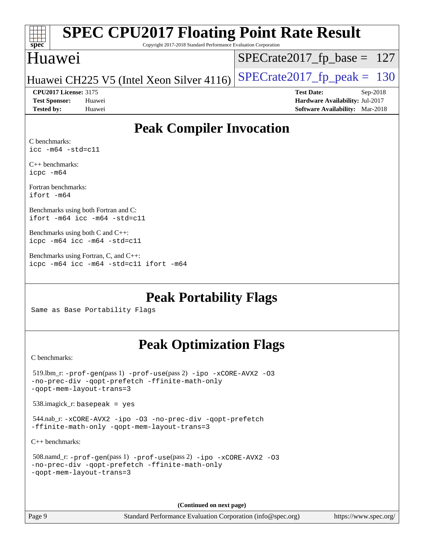| S<br>Dе<br>۹<br>Ľ |  |  |  |  |  |
|-------------------|--|--|--|--|--|

Copyright 2017-2018 Standard Performance Evaluation Corporation

### Huawei

[SPECrate2017\\_fp\\_base =](http://www.spec.org/auto/cpu2017/Docs/result-fields.html#SPECrate2017fpbase) 127

Huawei CH225 V5 (Intel Xeon Silver 4116) SPECrate  $2017$  fp peak = 130

**[CPU2017 License:](http://www.spec.org/auto/cpu2017/Docs/result-fields.html#CPU2017License)** 3175 **[Test Date:](http://www.spec.org/auto/cpu2017/Docs/result-fields.html#TestDate)** Sep-2018 **[Test Sponsor:](http://www.spec.org/auto/cpu2017/Docs/result-fields.html#TestSponsor)** Huawei **[Hardware Availability:](http://www.spec.org/auto/cpu2017/Docs/result-fields.html#HardwareAvailability)** Jul-2017 **[Tested by:](http://www.spec.org/auto/cpu2017/Docs/result-fields.html#Testedby)** Huawei **[Software Availability:](http://www.spec.org/auto/cpu2017/Docs/result-fields.html#SoftwareAvailability)** Mar-2018

## **[Peak Compiler Invocation](http://www.spec.org/auto/cpu2017/Docs/result-fields.html#PeakCompilerInvocation)**

[C benchmarks:](http://www.spec.org/auto/cpu2017/Docs/result-fields.html#Cbenchmarks) [icc -m64 -std=c11](http://www.spec.org/cpu2017/results/res2018q4/cpu2017-20180920-08925.flags.html#user_CCpeak_intel_icc_64bit_c11_33ee0cdaae7deeeab2a9725423ba97205ce30f63b9926c2519791662299b76a0318f32ddfffdc46587804de3178b4f9328c46fa7c2b0cd779d7a61945c91cd35)

[C++ benchmarks:](http://www.spec.org/auto/cpu2017/Docs/result-fields.html#CXXbenchmarks) [icpc -m64](http://www.spec.org/cpu2017/results/res2018q4/cpu2017-20180920-08925.flags.html#user_CXXpeak_intel_icpc_64bit_4ecb2543ae3f1412ef961e0650ca070fec7b7afdcd6ed48761b84423119d1bf6bdf5cad15b44d48e7256388bc77273b966e5eb805aefd121eb22e9299b2ec9d9)

[Fortran benchmarks](http://www.spec.org/auto/cpu2017/Docs/result-fields.html#Fortranbenchmarks): [ifort -m64](http://www.spec.org/cpu2017/results/res2018q4/cpu2017-20180920-08925.flags.html#user_FCpeak_intel_ifort_64bit_24f2bb282fbaeffd6157abe4f878425411749daecae9a33200eee2bee2fe76f3b89351d69a8130dd5949958ce389cf37ff59a95e7a40d588e8d3a57e0c3fd751)

[Benchmarks using both Fortran and C:](http://www.spec.org/auto/cpu2017/Docs/result-fields.html#BenchmarksusingbothFortranandC) [ifort -m64](http://www.spec.org/cpu2017/results/res2018q4/cpu2017-20180920-08925.flags.html#user_CC_FCpeak_intel_ifort_64bit_24f2bb282fbaeffd6157abe4f878425411749daecae9a33200eee2bee2fe76f3b89351d69a8130dd5949958ce389cf37ff59a95e7a40d588e8d3a57e0c3fd751) [icc -m64 -std=c11](http://www.spec.org/cpu2017/results/res2018q4/cpu2017-20180920-08925.flags.html#user_CC_FCpeak_intel_icc_64bit_c11_33ee0cdaae7deeeab2a9725423ba97205ce30f63b9926c2519791662299b76a0318f32ddfffdc46587804de3178b4f9328c46fa7c2b0cd779d7a61945c91cd35)

[Benchmarks using both C and C++](http://www.spec.org/auto/cpu2017/Docs/result-fields.html#BenchmarksusingbothCandCXX): [icpc -m64](http://www.spec.org/cpu2017/results/res2018q4/cpu2017-20180920-08925.flags.html#user_CC_CXXpeak_intel_icpc_64bit_4ecb2543ae3f1412ef961e0650ca070fec7b7afdcd6ed48761b84423119d1bf6bdf5cad15b44d48e7256388bc77273b966e5eb805aefd121eb22e9299b2ec9d9) [icc -m64 -std=c11](http://www.spec.org/cpu2017/results/res2018q4/cpu2017-20180920-08925.flags.html#user_CC_CXXpeak_intel_icc_64bit_c11_33ee0cdaae7deeeab2a9725423ba97205ce30f63b9926c2519791662299b76a0318f32ddfffdc46587804de3178b4f9328c46fa7c2b0cd779d7a61945c91cd35)

[Benchmarks using Fortran, C, and C++:](http://www.spec.org/auto/cpu2017/Docs/result-fields.html#BenchmarksusingFortranCandCXX) [icpc -m64](http://www.spec.org/cpu2017/results/res2018q4/cpu2017-20180920-08925.flags.html#user_CC_CXX_FCpeak_intel_icpc_64bit_4ecb2543ae3f1412ef961e0650ca070fec7b7afdcd6ed48761b84423119d1bf6bdf5cad15b44d48e7256388bc77273b966e5eb805aefd121eb22e9299b2ec9d9) [icc -m64 -std=c11](http://www.spec.org/cpu2017/results/res2018q4/cpu2017-20180920-08925.flags.html#user_CC_CXX_FCpeak_intel_icc_64bit_c11_33ee0cdaae7deeeab2a9725423ba97205ce30f63b9926c2519791662299b76a0318f32ddfffdc46587804de3178b4f9328c46fa7c2b0cd779d7a61945c91cd35) [ifort -m64](http://www.spec.org/cpu2017/results/res2018q4/cpu2017-20180920-08925.flags.html#user_CC_CXX_FCpeak_intel_ifort_64bit_24f2bb282fbaeffd6157abe4f878425411749daecae9a33200eee2bee2fe76f3b89351d69a8130dd5949958ce389cf37ff59a95e7a40d588e8d3a57e0c3fd751)

**[Peak Portability Flags](http://www.spec.org/auto/cpu2017/Docs/result-fields.html#PeakPortabilityFlags)**

Same as Base Portability Flags

## **[Peak Optimization Flags](http://www.spec.org/auto/cpu2017/Docs/result-fields.html#PeakOptimizationFlags)**

[C benchmarks](http://www.spec.org/auto/cpu2017/Docs/result-fields.html#Cbenchmarks):

```
 519.lbm_r: -prof-gen(pass 1) -prof-use(pass 2) -ipo -xCORE-AVX2 -O3
-no-prec-div -qopt-prefetch -ffinite-math-only
-qopt-mem-layout-trans=3
 538.imagick_r: basepeak = yes
 544.nab_r: -xCORE-AVX2 -ipo -O3 -no-prec-div -qopt-prefetch
-ffinite-math-only -qopt-mem-layout-trans=3
C++ benchmarks: 
 508.namd_r: -prof-gen(pass 1) -prof-use(pass 2) -ipo -xCORE-AVX2 -O3
-no-prec-div -qopt-prefetch -ffinite-math-only
```

```
-qopt-mem-layout-trans=3
```
**(Continued on next page)**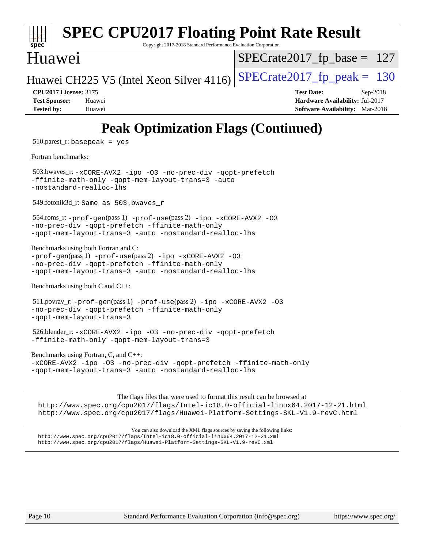| <b>SPEC CPU2017 Floating Point Rate Result</b><br>spec <sup>®</sup><br>Copyright 2017-2018 Standard Performance Evaluation Corporation                                                                                                       |                                                                                                            |
|----------------------------------------------------------------------------------------------------------------------------------------------------------------------------------------------------------------------------------------------|------------------------------------------------------------------------------------------------------------|
| Huawei                                                                                                                                                                                                                                       | $SPECrate2017_fp\_base = 127$                                                                              |
| Huawei CH225 V5 (Intel Xeon Silver 4116)                                                                                                                                                                                                     | $SPECrate2017fp peak = 130$                                                                                |
| <b>CPU2017 License: 3175</b><br><b>Test Sponsor:</b><br>Huawei<br><b>Tested by:</b><br>Huawei                                                                                                                                                | <b>Test Date:</b><br>Sep-2018<br>Hardware Availability: Jul-2017<br><b>Software Availability:</b> Mar-2018 |
| <b>Peak Optimization Flags (Continued)</b>                                                                                                                                                                                                   |                                                                                                            |
| $510.parse$ t_r: basepeak = yes                                                                                                                                                                                                              |                                                                                                            |
| Fortran benchmarks:                                                                                                                                                                                                                          |                                                                                                            |
| 503.bwaves_r:-xCORE-AVX2 -ipo -03 -no-prec-div -qopt-prefetch<br>-ffinite-math-only -qopt-mem-layout-trans=3 -auto<br>-nostandard-realloc-lhs                                                                                                |                                                                                                            |
| 549.fotonik3d_r: Same as 503.bwaves_r                                                                                                                                                                                                        |                                                                                                            |
| 554.roms_r: -prof-gen(pass 1) -prof-use(pass 2) -ipo -xCORE-AVX2 -03<br>-no-prec-div -qopt-prefetch -ffinite-math-only<br>-qopt-mem-layout-trans=3 -auto -nostandard-realloc-lhs                                                             |                                                                                                            |
| Benchmarks using both Fortran and C:<br>-prof-gen(pass 1) -prof-use(pass 2) -ipo -xCORE-AVX2 -03<br>-no-prec-div -qopt-prefetch -ffinite-math-only<br>-qopt-mem-layout-trans=3 -auto -nostandard-realloc-lhs                                 |                                                                                                            |
| Benchmarks using both C and C++:                                                                                                                                                                                                             |                                                                                                            |
| 511.povray_r: -prof-gen(pass 1) -prof-use(pass 2) -ipo -xCORE-AVX2 -03<br>-no-prec-div -qopt-prefetch -ffinite-math-only<br>-qopt-mem-layout-trans=3                                                                                         |                                                                                                            |
| 526.blender_r:-xCORE-AVX2 -ipo -03 -no-prec-div -qopt-prefetch<br>-ffinite-math-only -qopt-mem-layout-trans=3                                                                                                                                |                                                                                                            |
| Benchmarks using Fortran, C, and C++:<br>-xCORE-AVX2 -ipo -03 -no-prec-div -qopt-prefetch -ffinite-math-only<br>-qopt-mem-layout-trans=3 -auto -nostandard-realloc-lhs                                                                       |                                                                                                            |
| The flags files that were used to format this result can be browsed at<br>http://www.spec.org/cpu2017/flags/Intel-ic18.0-official-linux64.2017-12-21.html<br>http://www.spec.org/cpu2017/flags/Huawei-Platform-Settings-SKL-V1.9-revC.html   |                                                                                                            |
| You can also download the XML flags sources by saving the following links:<br>http://www.spec.org/cpu2017/flags/Intel-ic18.0-official-linux64.2017-12-21.xml<br>http://www.spec.org/cpu2017/flags/Huawei-Platform-Settings-SKL-V1.9-revC.xml |                                                                                                            |
|                                                                                                                                                                                                                                              |                                                                                                            |